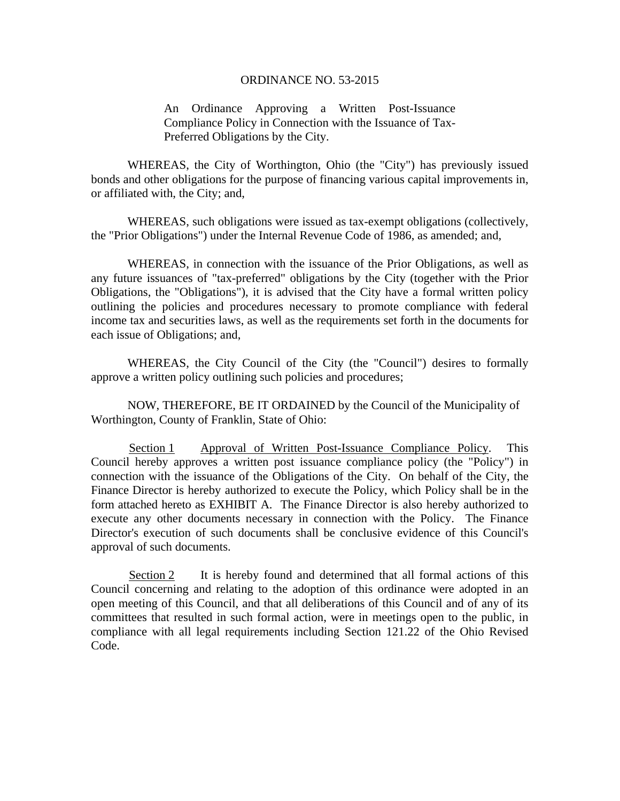#### ORDINANCE NO. 53-2015

An Ordinance Approving a Written Post-Issuance Compliance Policy in Connection with the Issuance of Tax-Preferred Obligations by the City.

WHEREAS, the City of Worthington, Ohio (the "City") has previously issued bonds and other obligations for the purpose of financing various capital improvements in, or affiliated with, the City; and,

WHEREAS, such obligations were issued as tax-exempt obligations (collectively, the "Prior Obligations") under the Internal Revenue Code of 1986, as amended; and,

WHEREAS, in connection with the issuance of the Prior Obligations, as well as any future issuances of "tax-preferred" obligations by the City (together with the Prior Obligations, the "Obligations"), it is advised that the City have a formal written policy outlining the policies and procedures necessary to promote compliance with federal income tax and securities laws, as well as the requirements set forth in the documents for each issue of Obligations; and,

WHEREAS, the City Council of the City (the "Council") desires to formally approve a written policy outlining such policies and procedures;

NOW, THEREFORE, BE IT ORDAINED by the Council of the Municipality of Worthington, County of Franklin, State of Ohio:

Section 1 Approval of Written Post-Issuance Compliance Policy. This Council hereby approves a written post issuance compliance policy (the "Policy") in connection with the issuance of the Obligations of the City. On behalf of the City, the Finance Director is hereby authorized to execute the Policy, which Policy shall be in the form attached hereto as EXHIBIT A. The Finance Director is also hereby authorized to execute any other documents necessary in connection with the Policy. The Finance Director's execution of such documents shall be conclusive evidence of this Council's approval of such documents.

Section 2 It is hereby found and determined that all formal actions of this Council concerning and relating to the adoption of this ordinance were adopted in an open meeting of this Council, and that all deliberations of this Council and of any of its committees that resulted in such formal action, were in meetings open to the public, in compliance with all legal requirements including Section 121.22 of the Ohio Revised Code.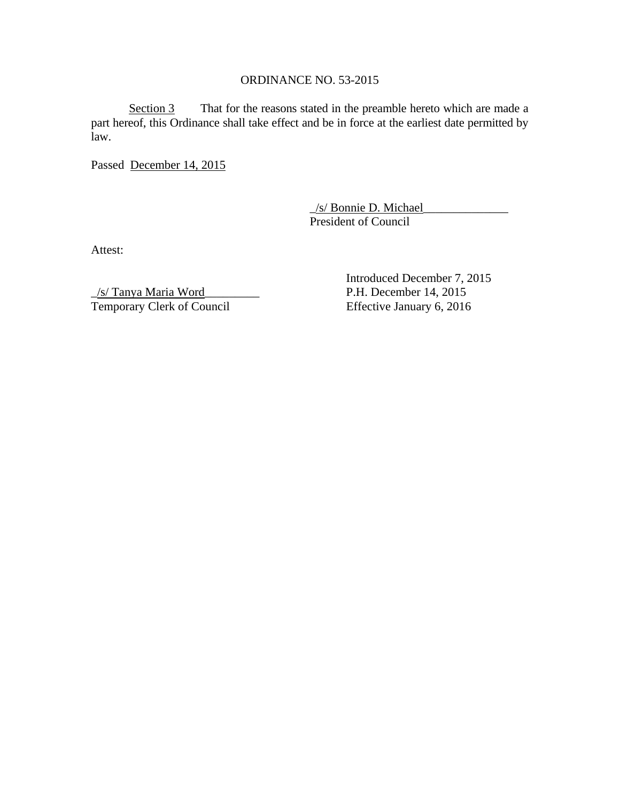# ORDINANCE NO. 53-2015

Section 3 That for the reasons stated in the preamble hereto which are made a part hereof, this Ordinance shall take effect and be in force at the earliest date permitted by law.

Passed December 14, 2015

\_/s/ Bonnie D. Michael\_\_\_\_\_\_\_\_\_\_\_\_\_\_ President of Council

Attest:

\_/s/ Tanya Maria Word\_\_\_\_\_\_\_\_\_ P.H. December 14, 2015 Temporary Clerk of Council Effective January 6, 2016

Introduced December 7, 2015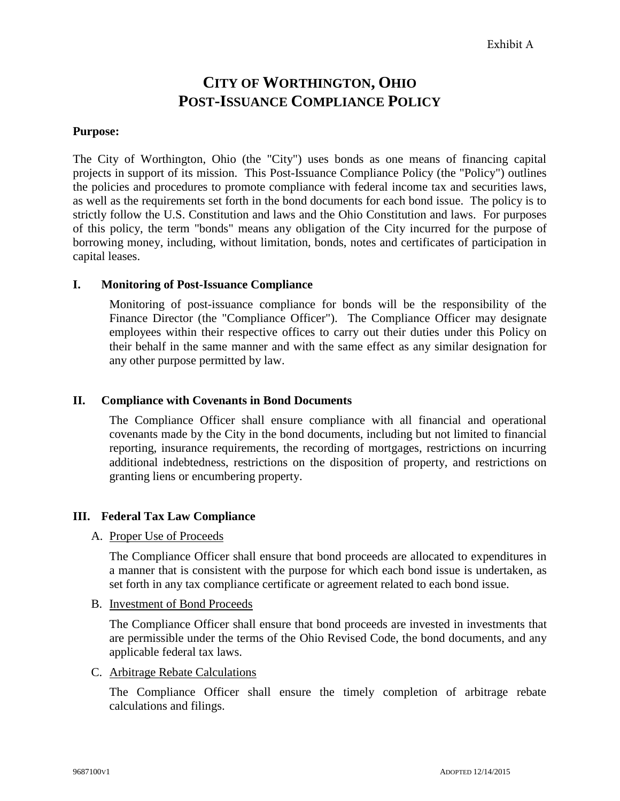# **CITY OF WORTHINGTON, OHIO POST-ISSUANCE COMPLIANCE POLICY**

# **Purpose:**

The City of Worthington, Ohio (the "City") uses bonds as one means of financing capital projects in support of its mission. This Post-Issuance Compliance Policy (the "Policy") outlines the policies and procedures to promote compliance with federal income tax and securities laws, as well as the requirements set forth in the bond documents for each bond issue. The policy is to strictly follow the U.S. Constitution and laws and the Ohio Constitution and laws. For purposes of this policy, the term "bonds" means any obligation of the City incurred for the purpose of borrowing money, including, without limitation, bonds, notes and certificates of participation in capital leases.

### **I. Monitoring of Post-Issuance Compliance**

Monitoring of post-issuance compliance for bonds will be the responsibility of the Finance Director (the "Compliance Officer"). The Compliance Officer may designate employees within their respective offices to carry out their duties under this Policy on their behalf in the same manner and with the same effect as any similar designation for any other purpose permitted by law.

# **II. Compliance with Covenants in Bond Documents**

The Compliance Officer shall ensure compliance with all financial and operational covenants made by the City in the bond documents, including but not limited to financial reporting, insurance requirements, the recording of mortgages, restrictions on incurring additional indebtedness, restrictions on the disposition of property, and restrictions on granting liens or encumbering property.

### **III. Federal Tax Law Compliance**

### A. Proper Use of Proceeds

The Compliance Officer shall ensure that bond proceeds are allocated to expenditures in a manner that is consistent with the purpose for which each bond issue is undertaken, as set forth in any tax compliance certificate or agreement related to each bond issue.

### B. Investment of Bond Proceeds

The Compliance Officer shall ensure that bond proceeds are invested in investments that are permissible under the terms of the Ohio Revised Code, the bond documents, and any applicable federal tax laws.

### C. Arbitrage Rebate Calculations

The Compliance Officer shall ensure the timely completion of arbitrage rebate calculations and filings.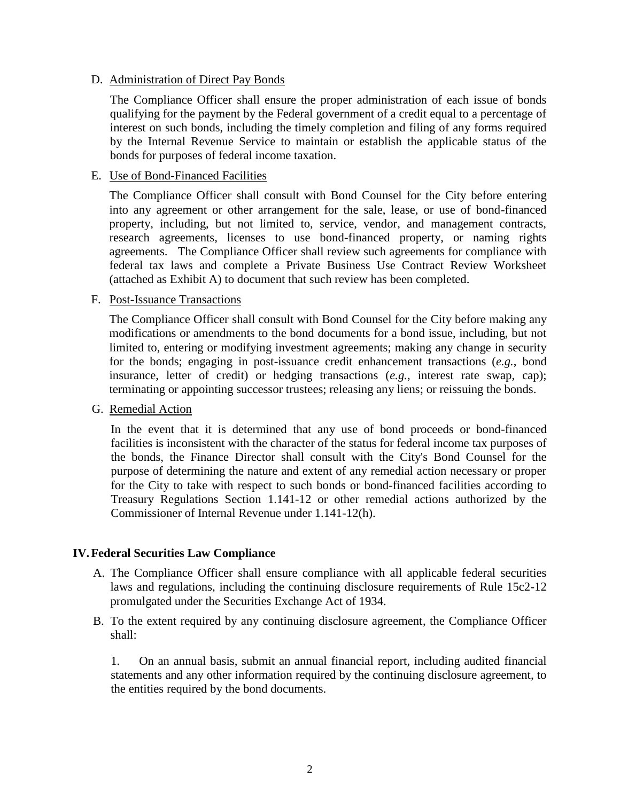### D. Administration of Direct Pay Bonds

The Compliance Officer shall ensure the proper administration of each issue of bonds qualifying for the payment by the Federal government of a credit equal to a percentage of interest on such bonds, including the timely completion and filing of any forms required by the Internal Revenue Service to maintain or establish the applicable status of the bonds for purposes of federal income taxation.

# E. Use of Bond-Financed Facilities

The Compliance Officer shall consult with Bond Counsel for the City before entering into any agreement or other arrangement for the sale, lease, or use of bond-financed property, including, but not limited to, service, vendor, and management contracts, research agreements, licenses to use bond-financed property, or naming rights agreements. The Compliance Officer shall review such agreements for compliance with federal tax laws and complete a Private Business Use Contract Review Worksheet (attached as Exhibit A) to document that such review has been completed.

### F. Post-Issuance Transactions

The Compliance Officer shall consult with Bond Counsel for the City before making any modifications or amendments to the bond documents for a bond issue, including, but not limited to, entering or modifying investment agreements; making any change in security for the bonds; engaging in post-issuance credit enhancement transactions (*e.g.*, bond insurance, letter of credit) or hedging transactions (*e.g.*, interest rate swap, cap); terminating or appointing successor trustees; releasing any liens; or reissuing the bonds.

### G. Remedial Action

In the event that it is determined that any use of bond proceeds or bond-financed facilities is inconsistent with the character of the status for federal income tax purposes of the bonds, the Finance Director shall consult with the City's Bond Counsel for the purpose of determining the nature and extent of any remedial action necessary or proper for the City to take with respect to such bonds or bond-financed facilities according to Treasury Regulations Section 1.141-12 or other remedial actions authorized by the Commissioner of Internal Revenue under 1.141-12(h).

# **IV.Federal Securities Law Compliance**

- A. The Compliance Officer shall ensure compliance with all applicable federal securities laws and regulations, including the continuing disclosure requirements of Rule 15c2-12 promulgated under the Securities Exchange Act of 1934.
- B. To the extent required by any continuing disclosure agreement, the Compliance Officer shall:

1. On an annual basis, submit an annual financial report, including audited financial statements and any other information required by the continuing disclosure agreement, to the entities required by the bond documents.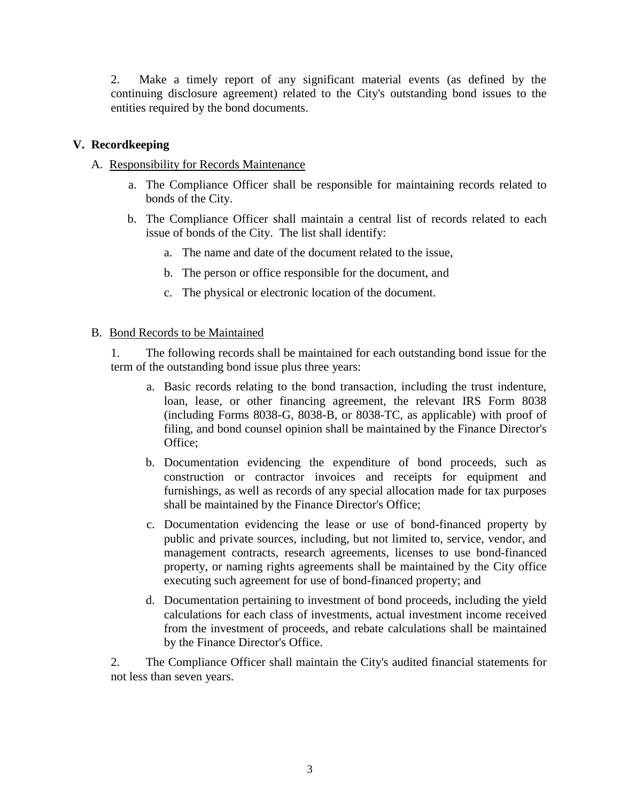2. Make a timely report of any significant material events (as defined by the continuing disclosure agreement) related to the City's outstanding bond issues to the entities required by the bond documents.

# **V. Recordkeeping**

# A. Responsibility for Records Maintenance

- a. The Compliance Officer shall be responsible for maintaining records related to bonds of the City.
- b. The Compliance Officer shall maintain a central list of records related to each issue of bonds of the City. The list shall identify:
	- a. The name and date of the document related to the issue,
	- b. The person or office responsible for the document, and
	- c. The physical or electronic location of the document.

# B. Bond Records to be Maintained

1. The following records shall be maintained for each outstanding bond issue for the term of the outstanding bond issue plus three years:

- a. Basic records relating to the bond transaction, including the trust indenture, loan, lease, or other financing agreement, the relevant IRS Form 8038 (including Forms 8038-G, 8038-B, or 8038-TC, as applicable) with proof of filing, and bond counsel opinion shall be maintained by the Finance Director's Office;
- b. Documentation evidencing the expenditure of bond proceeds, such as construction or contractor invoices and receipts for equipment and furnishings, as well as records of any special allocation made for tax purposes shall be maintained by the Finance Director's Office;
- c. Documentation evidencing the lease or use of bond-financed property by public and private sources, including, but not limited to, service, vendor, and management contracts, research agreements, licenses to use bond-financed property, or naming rights agreements shall be maintained by the City office executing such agreement for use of bond-financed property; and
- d. Documentation pertaining to investment of bond proceeds, including the yield calculations for each class of investments, actual investment income received from the investment of proceeds, and rebate calculations shall be maintained by the Finance Director's Office.

2. The Compliance Officer shall maintain the City's audited financial statements for not less than seven years.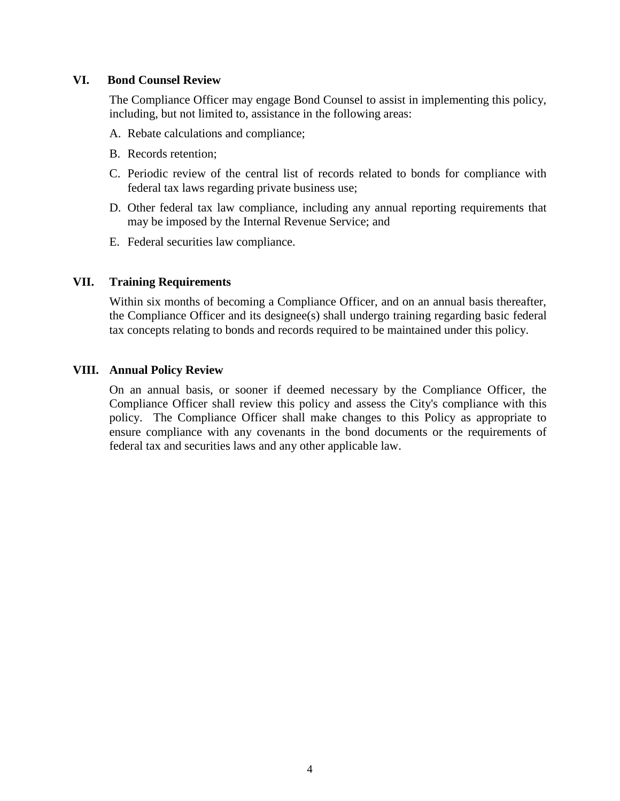# **VI. Bond Counsel Review**

The Compliance Officer may engage Bond Counsel to assist in implementing this policy, including, but not limited to, assistance in the following areas:

- A. Rebate calculations and compliance;
- B. Records retention;
- C. Periodic review of the central list of records related to bonds for compliance with federal tax laws regarding private business use;
- D. Other federal tax law compliance, including any annual reporting requirements that may be imposed by the Internal Revenue Service; and
- E. Federal securities law compliance.

# **VII. Training Requirements**

Within six months of becoming a Compliance Officer, and on an annual basis thereafter, the Compliance Officer and its designee(s) shall undergo training regarding basic federal tax concepts relating to bonds and records required to be maintained under this policy.

### **VIII. Annual Policy Review**

On an annual basis, or sooner if deemed necessary by the Compliance Officer, the Compliance Officer shall review this policy and assess the City's compliance with this policy. The Compliance Officer shall make changes to this Policy as appropriate to ensure compliance with any covenants in the bond documents or the requirements of federal tax and securities laws and any other applicable law.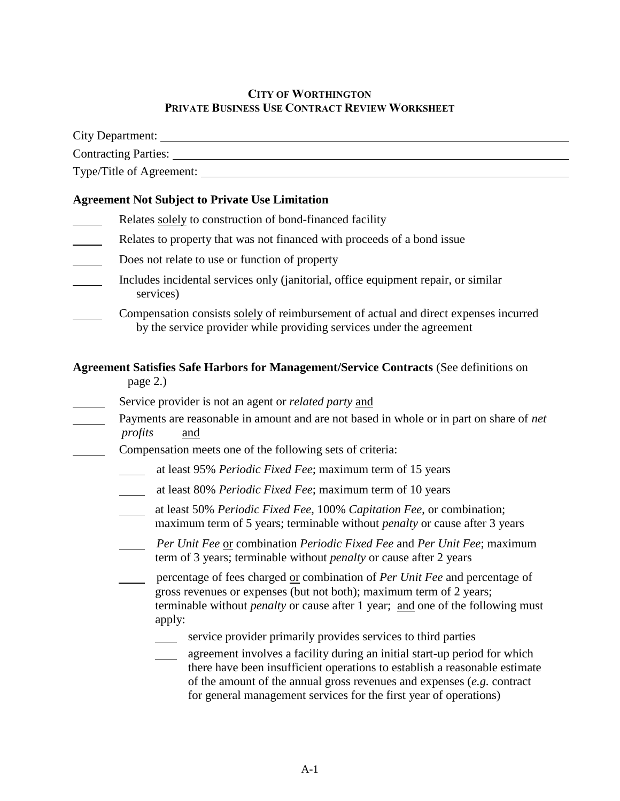# **CITY OF WORTHINGTON PRIVATE BUSINESS USE CONTRACT REVIEW WORKSHEET**

|                                                        | Type/Title of Agreement:                                                                                                                                                                                                                                                                                                                                                  |
|--------------------------------------------------------|---------------------------------------------------------------------------------------------------------------------------------------------------------------------------------------------------------------------------------------------------------------------------------------------------------------------------------------------------------------------------|
| <b>Agreement Not Subject to Private Use Limitation</b> |                                                                                                                                                                                                                                                                                                                                                                           |
|                                                        | Relates solely to construction of bond-financed facility                                                                                                                                                                                                                                                                                                                  |
|                                                        | Relates to property that was not financed with proceeds of a bond issue                                                                                                                                                                                                                                                                                                   |
| $\mathcal{L}(\mathcal{L})$                             | Does not relate to use or function of property                                                                                                                                                                                                                                                                                                                            |
|                                                        | Includes incidental services only (janitorial, office equipment repair, or similar<br>services)                                                                                                                                                                                                                                                                           |
|                                                        | Compensation consists solely of reimbursement of actual and direct expenses incurred<br>by the service provider while providing services under the agreement                                                                                                                                                                                                              |
|                                                        | Agreement Satisfies Safe Harbors for Management/Service Contracts (See definitions on<br>page 2.)                                                                                                                                                                                                                                                                         |
|                                                        | Service provider is not an agent or <i>related party</i> and<br>Payments are reasonable in amount and are not based in whole or in part on share of net<br>profits<br>and                                                                                                                                                                                                 |
|                                                        | Compensation meets one of the following sets of criteria:                                                                                                                                                                                                                                                                                                                 |
|                                                        | at least 95% Periodic Fixed Fee; maximum term of 15 years                                                                                                                                                                                                                                                                                                                 |
|                                                        | at least 80% Periodic Fixed Fee; maximum term of 10 years                                                                                                                                                                                                                                                                                                                 |
|                                                        | at least 50% Periodic Fixed Fee, 100% Capitation Fee, or combination;<br>maximum term of 5 years; terminable without <i>penalty</i> or cause after 3 years                                                                                                                                                                                                                |
|                                                        | Per Unit Fee or combination Periodic Fixed Fee and Per Unit Fee; maximum<br>term of 3 years; terminable without <i>penalty</i> or cause after 2 years                                                                                                                                                                                                                     |
|                                                        | percentage of fees charged or combination of Per Unit Fee and percentage of<br>gross revenues or expenses (but not both); maximum term of 2 years;<br>terminable without <i>penalty</i> or cause after 1 year; and one of the following must<br>apply:                                                                                                                    |
|                                                        | service provider primarily provides services to third parties<br>agreement involves a facility during an initial start-up period for which<br>there have been insufficient operations to establish a reasonable estimate<br>of the amount of the annual gross revenues and expenses $(e.g.$ contract<br>for general management services for the first year of operations) |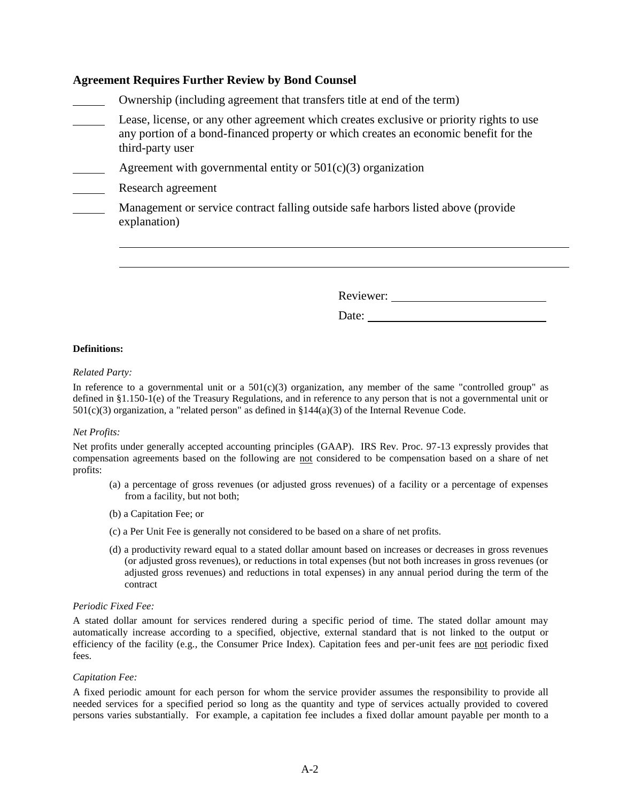### **Agreement Requires Further Review by Bond Counsel**

- Ownership (including agreement that transfers title at end of the term)
- Lease, license, or any other agreement which creates exclusive or priority rights to use any portion of a bond-financed property or which creates an economic benefit for the third-party user
- Agreement with governmental entity or  $501(c)(3)$  organization
- Research agreement

Management or service contract falling outside safe harbors listed above (provide explanation)

Reviewer:

Date:

#### **Definitions:**

#### *Related Party:*

In reference to a governmental unit or a  $501(c)(3)$  organization, any member of the same "controlled group" as defined in §1.150-1(e) of the Treasury Regulations, and in reference to any person that is not a governmental unit or  $501(c)(3)$  organization, a "related person" as defined in §144(a)(3) of the Internal Revenue Code.

#### *Net Profits:*

Net profits under generally accepted accounting principles (GAAP). IRS Rev. Proc. 97-13 expressly provides that compensation agreements based on the following are not considered to be compensation based on a share of net profits:

- (a) a percentage of gross revenues (or adjusted gross revenues) of a facility or a percentage of expenses from a facility, but not both;
- (b) a Capitation Fee; or
- (c) a Per Unit Fee is generally not considered to be based on a share of net profits.
- (d) a productivity reward equal to a stated dollar amount based on increases or decreases in gross revenues (or adjusted gross revenues), or reductions in total expenses (but not both increases in gross revenues (or adjusted gross revenues) and reductions in total expenses) in any annual period during the term of the contract

#### *Periodic Fixed Fee:*

A stated dollar amount for services rendered during a specific period of time. The stated dollar amount may automatically increase according to a specified, objective, external standard that is not linked to the output or efficiency of the facility (e.g., the Consumer Price Index). Capitation fees and per-unit fees are not periodic fixed fees.

#### *Capitation Fee:*

A fixed periodic amount for each person for whom the service provider assumes the responsibility to provide all needed services for a specified period so long as the quantity and type of services actually provided to covered persons varies substantially. For example, a capitation fee includes a fixed dollar amount payable per month to a